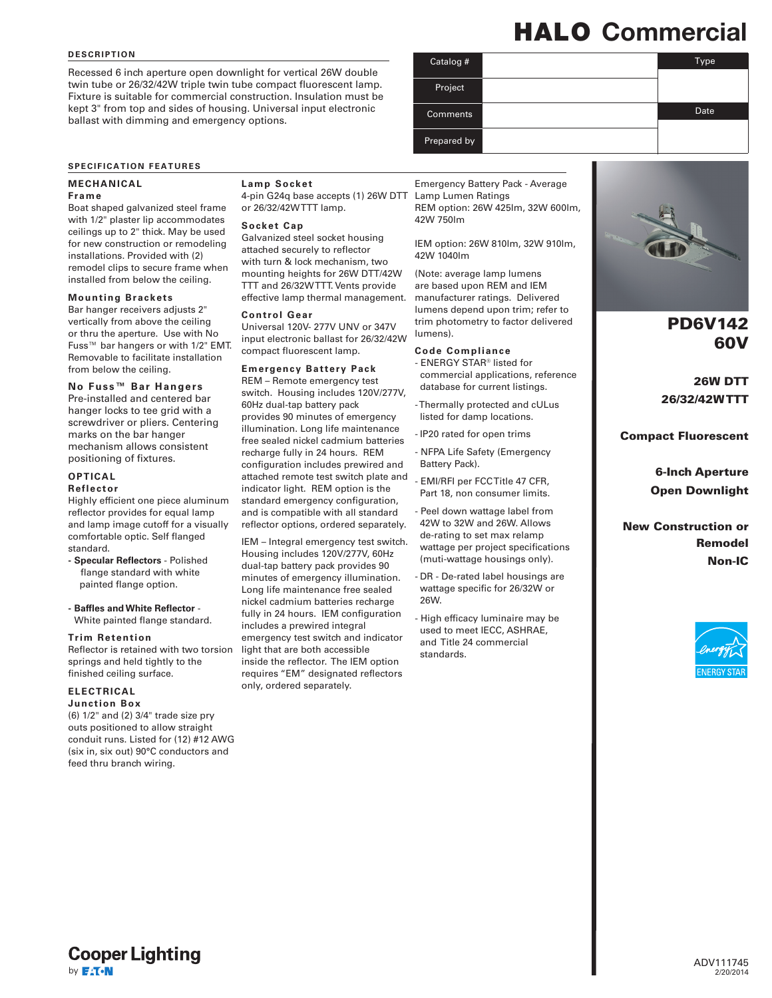### **DESCRIPTION**

Recessed 6 inch aperture open downlight for vertical 26W double twin tube or 26/32/42W triple twin tube compact fluorescent lamp. Fixture is suitable for commercial construction. Insulation must be kept 3" from top and sides of housing. Universal input electronic ballast with dimming and emergency options.

# HALO Commercial

| Catalog #       | Type |
|-----------------|------|
|                 |      |
| Project         |      |
| <b>Comments</b> | Date |
| Prepared by     |      |

## **SPECIFICATION FEATURES**

### **MECHANICAL**

#### **Frame**

Boat shaped galvanized steel frame with 1/2" plaster lip accommodates ceilings up to 2" thick. May be used for new construction or remodeling installations. Provided with (2) remodel clips to secure frame when installed from below the ceiling.

#### **Mounting Brackets**

Bar hanger receivers adjusts 2" vertically from above the ceiling or thru the aperture. Use with No Fuss™ bar hangers or with 1/2" EMT. Removable to facilitate installation from below the ceiling.

# **No Fuss™ Bar Hangers**

Pre-installed and centered bar hanger locks to tee grid with a screwdriver or pliers. Centering marks on the bar hanger mechanism allows consistent positioning of fixtures.

## **OPTICAL**

#### **Reflector**

Highly efficient one piece aluminum reflector provides for equal lamp and lamp image cutoff for a visually comfortable optic. Self flanged standard.

- **- Specular Reflectors** Polished flange standard with white painted flange option.
- **- Baffles and White Reflector** White painted flange standard.

#### **Trim Retention**

Reflector is retained with two torsion springs and held tightly to the finished ceiling surface.

# **ELECTRICAL**

## **Junction Box**

(6) 1/2" and (2) 3/4" trade size pry outs positioned to allow straight conduit runs. Listed for (12) #12 AWG (six in, six out) 90°C conductors and feed thru branch wiring.

#### **Lamp Socket**

4-pin G24q base accepts (1) 26W DTT or 26/32/42W TTT lamp.

#### **Socket Cap**

Galvanized steel socket housing attached securely to reflector with turn & lock mechanism, two mounting heights for 26W DTT/42W TTT and 26/32W TTT. Vents provide effective lamp thermal management.

#### **Control Gear**

Universal 120V- 277V UNV or 347V input electronic ballast for 26/32/42W compact fluorescent lamp.

#### **Emergency Battery Pack**

REM – Remote emergency test switch. Housing includes 120V/277V, 60Hz dual-tap battery pack provides 90 minutes of emergency illumination. Long life maintenance free sealed nickel cadmium batteries recharge fully in 24 hours. REM configuration includes prewired and attached remote test switch plate and indicator light. REM option is the standard emergency configuration, and is compatible with all standard reflector options, ordered separately.

IEM – Integral emergency test switch. Housing includes 120V/277V, 60Hz dual-tap battery pack provides 90 minutes of emergency illumination. Long life maintenance free sealed nickel cadmium batteries recharge fully in 24 hours. IEM configuration includes a prewired integral emergency test switch and indicator light that are both accessible inside the reflector. The IEM option requires "EM" designated reflectors only, ordered separately.

Emergency Battery Pack - Average Lamp Lumen Ratings REM option: 26W 425lm, 32W 600lm, 42W 750lm

IEM option: 26W 810lm, 32W 910lm, 42W 1040lm

(Note: average lamp lumens are based upon REM and IEM manufacturer ratings. Delivered lumens depend upon trim; refer to trim photometry to factor delivered lumens).

## **Code Compliance**

- ENERGY STAR® listed for commercial applications, reference database for current listings.

- Thermally protected and cULus listed for damp locations.

- IP20 rated for open trims

- NFPA Life Safety (Emergency Battery Pack).

- EMI/RFI per FCC Title 47 CFR, Part 18, non consumer limits.

- Peel down wattage label from 42W to 32W and 26W. Allows de-rating to set max relamp wattage per project specifications (muti-wattage housings only).

- DR - De-rated label housings are wattage specific for 26/32W or 26W.

High efficacy luminaire may be used to meet IECC, ASHRAE, and Title 24 commercial standards.



PD6V142 60V

26W DTT 26/32/42W TTT

Compact Fluorescent

6-Inch Aperture Open Downlight

New Construction or Remodel Non-IC

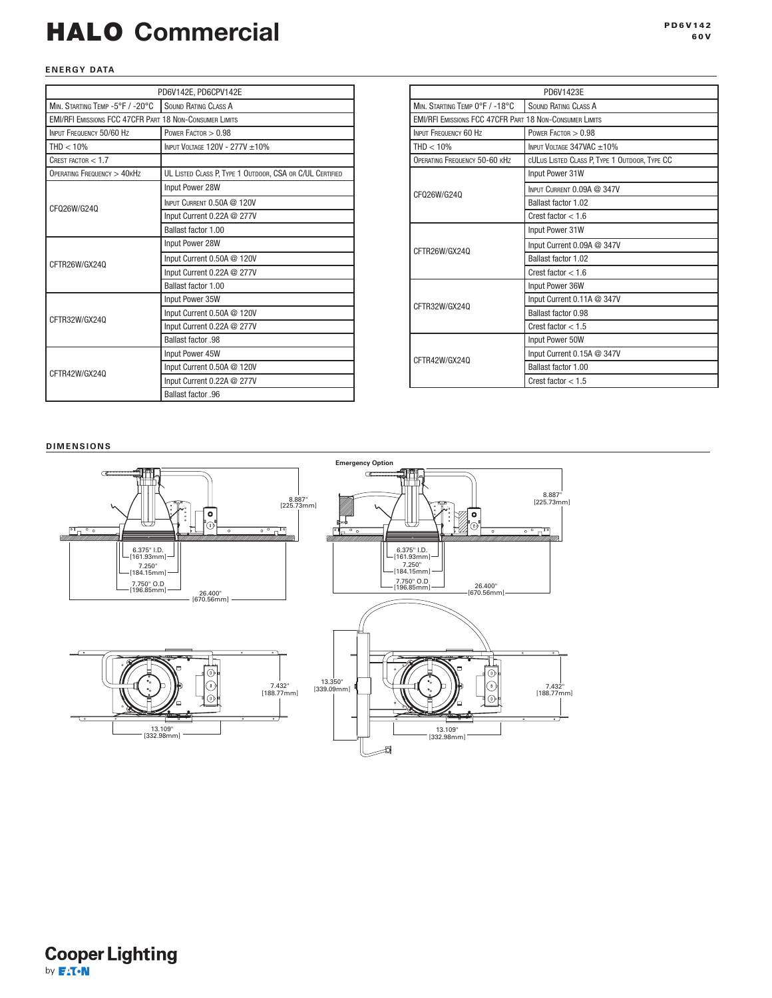# HALO Commercial and the state of the state of the state of the state of the state of the state of the state of the state of the state of the state of the state of the state of the state of the state of the state of the sta

## **ENERGY DATA**

| PD6V142E, PD6CPV142E                                           |                                                          |  |  |  |
|----------------------------------------------------------------|----------------------------------------------------------|--|--|--|
| MIN. STARTING TEMP -5°F / -20°C                                | <b>SOUND RATING CLASS A</b>                              |  |  |  |
| <b>EMI/RFI EMISSIONS FCC 47CFR PART 18 NON-CONSUMER LIMITS</b> |                                                          |  |  |  |
| INPUT FREQUENCY 50/60 Hz                                       | POWER $FactorOR > 0.98$                                  |  |  |  |
| $THD < 10\%$                                                   | INPUT VOLTAGE 120V - 277V ±10%                           |  |  |  |
| CREST FACTOR $< 1.7$                                           |                                                          |  |  |  |
| OPERATING FREQUENCY > 40KHZ                                    | UL LISTED CLASS P, TYPE 1 OUTDOOR, CSA OR C/UL CERTIFIED |  |  |  |
|                                                                | Input Power 28W                                          |  |  |  |
| CF026W/G240                                                    | INPUT CURRENT 0.50A @ 120V                               |  |  |  |
|                                                                | Input Current 0.22A @ 277V                               |  |  |  |
|                                                                | Ballast factor 1.00                                      |  |  |  |
|                                                                | Input Power 28W                                          |  |  |  |
| CFTR26W/GX240                                                  | Input Current 0.50A @ 120V                               |  |  |  |
|                                                                | Input Current 0.22A @ 277V                               |  |  |  |
|                                                                | Ballast factor 1.00                                      |  |  |  |
|                                                                | Input Power 35W                                          |  |  |  |
| CFTR32W/GX240                                                  | Input Current 0.50A @ 120V                               |  |  |  |
|                                                                | Input Current 0.22A @ 277V                               |  |  |  |
|                                                                | Ballast factor .98                                       |  |  |  |
|                                                                | Input Power 45W                                          |  |  |  |
| CFTR42W/GX240                                                  | Input Current 0.50A @ 120V                               |  |  |  |
|                                                                | Input Current 0.22A @ 277V                               |  |  |  |
|                                                                | Ballast factor .96                                       |  |  |  |

| PD6V1423E                                                      |                                               |  |  |  |
|----------------------------------------------------------------|-----------------------------------------------|--|--|--|
| MIN. STARTING TEMP 0°F / -18°C                                 | <b>SOUND RATING CLASS A</b>                   |  |  |  |
| <b>EMI/RFI EMISSIONS FCC 47CFR PART 18 NON-CONSUMER LIMITS</b> |                                               |  |  |  |
| INPUT FREQUENCY 60 Hz                                          | POWER FACTOR $> 0.98$                         |  |  |  |
| THD < 10%                                                      | INPUT VOLTAGE 347VAC ±10%                     |  |  |  |
| OPERATING FREQUENCY 50-60 KHZ                                  | CULUS LISTED CLASS P, TYPE 1 OUTDOOR, TYPE CC |  |  |  |
|                                                                | Input Power 31W                               |  |  |  |
| CF026W/G240                                                    | INPUT CURRENT 0.09A @ 347V                    |  |  |  |
|                                                                | Ballast factor 1.02                           |  |  |  |
|                                                                | Crest factor $< 1.6$                          |  |  |  |
|                                                                | Input Power 31W                               |  |  |  |
| CFTR26W/GX240                                                  | Input Current 0.09A @ 347V                    |  |  |  |
|                                                                | Ballast factor 1.02                           |  |  |  |
|                                                                | Crest factor $<$ 1.6                          |  |  |  |
|                                                                | Input Power 36W                               |  |  |  |
| CFTR32W/GX24Q                                                  | Input Current 0.11A @ 347V                    |  |  |  |
|                                                                | Ballast factor 0.98                           |  |  |  |
|                                                                | Crest factor $< 1.5$                          |  |  |  |
|                                                                | Input Power 50W                               |  |  |  |
| CFTR42W/GX240                                                  | Input Current 0.15A @ 347V                    |  |  |  |
|                                                                | Ballast factor 1.00                           |  |  |  |
|                                                                | Crest factor $< 1.5$                          |  |  |  |

## **DIMENSIONS**